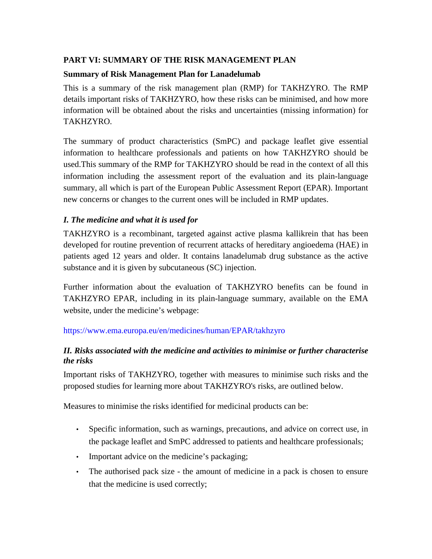## **PART VI: SUMMARY OF THE RISK MANAGEMENT PLAN**

## **Summary of Risk Management Plan for Lanadelumab**

This is a summary of the risk management plan (RMP) for TAKHZYRO. The RMP details important risks of TAKHZYRO, how these risks can be minimised, and how more information will be obtained about the risks and uncertainties (missing information) for TAKHZYRO.

The summary of product characteristics (SmPC) and package leaflet give essential information to healthcare professionals and patients on how TAKHZYRO should be used.This summary of the RMP for TAKHZYRO should be read in the context of all this information including the assessment report of the evaluation and its plain-language summary, all which is part of the European Public Assessment Report (EPAR). Important new concerns or changes to the current ones will be included in RMP updates.

## *I. The medicine and what it is used for*

TAKHZYRO is a recombinant, targeted against active plasma kallikrein that has been developed for routine prevention of recurrent attacks of hereditary angioedema (HAE) in patients aged 12 years and older. It contains lanadelumab drug substance as the active substance and it is given by subcutaneous (SC) injection.

Further information about the evaluation of TAKHZYRO benefits can be found in TAKHZYRO EPAR, including in its plain-language summary, available on the EMA website, under the medicine's webpage:

## <https://www.ema.europa.eu/en/medicines/human/EPAR/takhzyro>

## *II. Risks associated with the medicine and activities to minimise or further characterise the risks*

Important risks of TAKHZYRO, together with measures to minimise such risks and the proposed studies for learning more about TAKHZYRO's risks, are outlined below.

Measures to minimise the risks identified for medicinal products can be:

- Specific information, such as warnings, precautions, and advice on correct use, in the package leaflet and SmPC addressed to patients and healthcare professionals;
- Important advice on the medicine's packaging;
- The authorised pack size the amount of medicine in a pack is chosen to ensure that the medicine is used correctly;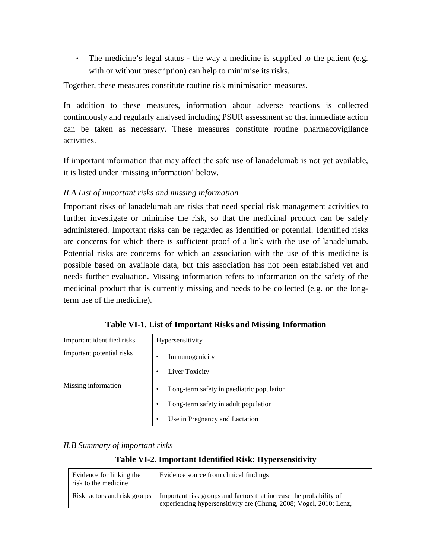• The medicine's legal status - the way a medicine is supplied to the patient (e.g. with or without prescription) can help to minimise its risks.

Together, these measures constitute routine risk minimisation measures.

In addition to these measures, information about adverse reactions is collected continuously and regularly analysed including PSUR assessment so that immediate action can be taken as necessary. These measures constitute routine pharmacovigilance activities.

If important information that may affect the safe use of lanadelumab is not yet available, it is listed under 'missing information' below.

#### *II.A List of important risks and missing information*

Important risks of lanadelumab are risks that need special risk management activities to further investigate or minimise the risk, so that the medicinal product can be safely administered. Important risks can be regarded as identified or potential. Identified risks are concerns for which there is sufficient proof of a link with the use of lanadelumab. Potential risks are concerns for which an association with the use of this medicine is possible based on available data, but this association has not been established yet and needs further evaluation. Missing information refers to information on the safety of the medicinal product that is currently missing and needs to be collected (e.g. on the longterm use of the medicine).

| Important identified risks | Hypersensitivity                               |  |
|----------------------------|------------------------------------------------|--|
| Important potential risks  | Immunogenicity<br>٠                            |  |
|                            | Liver Toxicity<br>٠                            |  |
| Missing information        | Long-term safety in paediatric population<br>٠ |  |
|                            | Long-term safety in adult population<br>٠      |  |
|                            | Use in Pregnancy and Lactation<br>٠            |  |

**Table VI-1. List of Important Risks and Missing Information**

#### *II.B Summary of important risks*

#### **Table VI-2. Important Identified Risk: Hypersensitivity**

| Evidence for linking the<br>risk to the medicine | Evidence source from clinical findings                                                                                                   |
|--------------------------------------------------|------------------------------------------------------------------------------------------------------------------------------------------|
| Risk factors and risk groups                     | Important risk groups and factors that increase the probability of<br>experiencing hypersensitivity are (Chung, 2008; Vogel, 2010; Lenz, |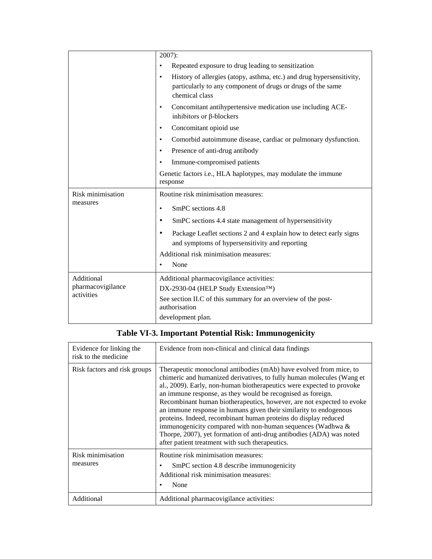|                   | $2007$ :                                                                                                                                                            |  |
|-------------------|---------------------------------------------------------------------------------------------------------------------------------------------------------------------|--|
|                   | Repeated exposure to drug leading to sensitization                                                                                                                  |  |
|                   | History of allergies (atopy, asthma, etc.) and drug hypersensitivity,<br>$\bullet$<br>particularly to any component of drugs or drugs of the same<br>chemical class |  |
|                   | Concomitant antihypertensive medication use including ACE-<br>٠<br>inhibitors or $\beta$ -blockers                                                                  |  |
|                   | Concomitant opioid use                                                                                                                                              |  |
|                   | Comorbid autoimmune disease, cardiac or pulmonary dysfunction.<br>٠                                                                                                 |  |
|                   | Presence of anti-drug antibody                                                                                                                                      |  |
|                   | Immune-compromised patients                                                                                                                                         |  |
|                   | Genetic factors <i>i.e.</i> , HLA haplotypes, may modulate the immune<br>response                                                                                   |  |
| Risk minimisation | Routine risk minimisation measures:                                                                                                                                 |  |
| measures          | SmPC sections 4.8<br>$\bullet$                                                                                                                                      |  |
|                   | SmPC sections 4.4 state management of hypersensitivity                                                                                                              |  |
|                   | Package Leaflet sections 2 and 4 explain how to detect early signs<br>and symptoms of hypersensitivity and reporting                                                |  |
|                   | Additional risk minimisation measures:                                                                                                                              |  |
|                   | None                                                                                                                                                                |  |
|                   |                                                                                                                                                                     |  |
| Additional        | Additional pharmacovigilance activities:                                                                                                                            |  |
| pharmacovigilance | DX-2930-04 (HELP Study Extension <sup>TM</sup> )                                                                                                                    |  |
| activities        | See section II.C of this summary for an overview of the post-<br>authorisation                                                                                      |  |

# **Table VI-3. Important Potential Risk: Immunogenicity**

| Evidence for linking the<br>risk to the medicine | Evidence from non-clinical and clinical data findings                                                                                                                                                                                                                                                                                                                                                                                                                                                                                                                                                                                                                                         |
|--------------------------------------------------|-----------------------------------------------------------------------------------------------------------------------------------------------------------------------------------------------------------------------------------------------------------------------------------------------------------------------------------------------------------------------------------------------------------------------------------------------------------------------------------------------------------------------------------------------------------------------------------------------------------------------------------------------------------------------------------------------|
| Risk factors and risk groups                     | Therapeutic monoclonal antibodies (mAb) have evolved from mice, to<br>chimeric and humanized derivatives, to fully human molecules (Wang et<br>al., 2009). Early, non-human biotherapeutics were expected to provoke<br>an immune response, as they would be recognised as foreign.<br>Recombinant human biotherapeutics, however, are not expected to evoke<br>an immune response in humans given their similarity to endogenous<br>proteins. Indeed, recombinant human proteins do display reduced<br>immunogenicity compared with non-human sequences (Wadhwa &<br>Thorpe, 2007), yet formation of anti-drug antibodies (ADA) was noted<br>after patient treatment with such therapeutics. |
| Risk minimisation<br>measures                    | Routine risk minimisation measures:<br>SmPC section 4.8 describe immunogenicity<br>Additional risk minimisation measures:<br>None                                                                                                                                                                                                                                                                                                                                                                                                                                                                                                                                                             |
| Additional                                       | Additional pharmacovigilance activities:                                                                                                                                                                                                                                                                                                                                                                                                                                                                                                                                                                                                                                                      |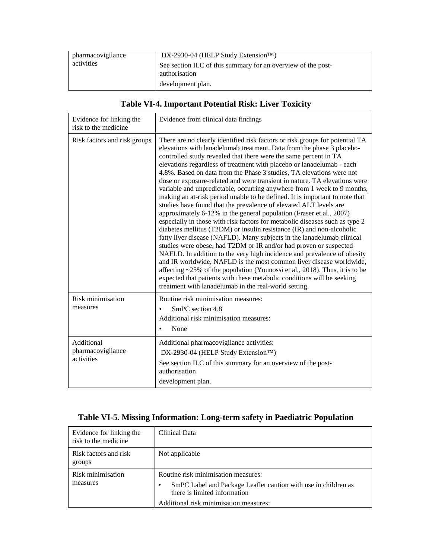| pharmacovigilance | DX-2930-04 (HELP Study Extension <sup>TM</sup> )                               |
|-------------------|--------------------------------------------------------------------------------|
| activities        | See section II.C of this summary for an overview of the post-<br>authorisation |
|                   | development plan.                                                              |

# **Table VI-4. Important Potential Risk: Liver Toxicity**

| Evidence for linking the<br>risk to the medicine | Evidence from clinical data findings                                                                                                                                                                                                                                                                                                                                                                                                                                                                                                                                                                                                                                                                                                                                                                                                                                                                                                                                                                                                                                                                                                                                                                                                                                                                                                                                                                                                           |
|--------------------------------------------------|------------------------------------------------------------------------------------------------------------------------------------------------------------------------------------------------------------------------------------------------------------------------------------------------------------------------------------------------------------------------------------------------------------------------------------------------------------------------------------------------------------------------------------------------------------------------------------------------------------------------------------------------------------------------------------------------------------------------------------------------------------------------------------------------------------------------------------------------------------------------------------------------------------------------------------------------------------------------------------------------------------------------------------------------------------------------------------------------------------------------------------------------------------------------------------------------------------------------------------------------------------------------------------------------------------------------------------------------------------------------------------------------------------------------------------------------|
| Risk factors and risk groups                     | There are no clearly identified risk factors or risk groups for potential TA<br>elevations with lanadelumab treatment. Data from the phase 3 placebo-<br>controlled study revealed that there were the same percent in TA<br>elevations regardless of treatment with placebo or lanadelumab - each<br>4.8%. Based on data from the Phase 3 studies, TA elevations were not<br>dose or exposure-related and were transient in nature. TA elevations were<br>variable and unpredictable, occurring anywhere from 1 week to 9 months,<br>making an at-risk period unable to be defined. It is important to note that<br>studies have found that the prevalence of elevated ALT levels are<br>approximately 6-12% in the general population (Fraser et al., 2007)<br>especially in those with risk factors for metabolic diseases such as type 2<br>diabetes mellitus (T2DM) or insulin resistance (IR) and non-alcoholic<br>fatty liver disease (NAFLD). Many subjects in the lanadelumab clinical<br>studies were obese, had T2DM or IR and/or had proven or suspected<br>NAFLD. In addition to the very high incidence and prevalence of obesity<br>and IR worldwide, NAFLD is the most common liver disease worldwide,<br>affecting $\sim$ 25% of the population (Younossi et al., 2018). Thus, it is to be<br>expected that patients with these metabolic conditions will be seeking<br>treatment with lanadelumab in the real-world setting. |
| Risk minimisation<br>measures                    | Routine risk minimisation measures:<br>SmPC section 4.8<br>Additional risk minimisation measures:<br>None                                                                                                                                                                                                                                                                                                                                                                                                                                                                                                                                                                                                                                                                                                                                                                                                                                                                                                                                                                                                                                                                                                                                                                                                                                                                                                                                      |
| Additional<br>pharmacovigilance<br>activities    | Additional pharmacovigilance activities:<br>DX-2930-04 (HELP Study Extension™)<br>See section II.C of this summary for an overview of the post-<br>authorisation<br>development plan.                                                                                                                                                                                                                                                                                                                                                                                                                                                                                                                                                                                                                                                                                                                                                                                                                                                                                                                                                                                                                                                                                                                                                                                                                                                          |

# **Table VI-5. Missing Information: Long-term safety in Paediatric Population**

| Evidence for linking the<br>risk to the medicine | Clinical Data                                                                                                                                                                        |
|--------------------------------------------------|--------------------------------------------------------------------------------------------------------------------------------------------------------------------------------------|
| Risk factors and risk<br>groups                  | Not applicable                                                                                                                                                                       |
| Risk minimisation<br>measures                    | Routine risk minimisation measures:<br>SmPC Label and Package Leaflet caution with use in children as<br>٠<br>there is limited information<br>Additional risk minimisation measures: |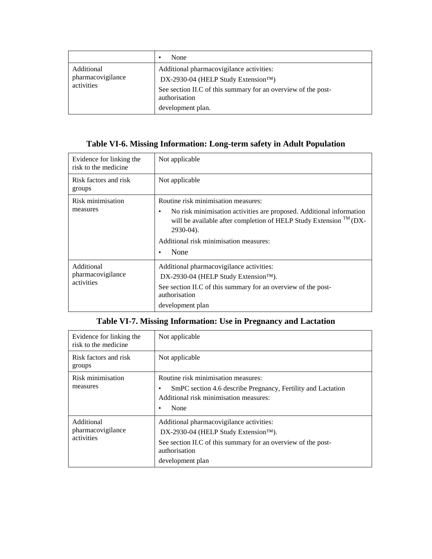|                                               | None<br>٠                                                                                                                                                                                           |
|-----------------------------------------------|-----------------------------------------------------------------------------------------------------------------------------------------------------------------------------------------------------|
| Additional<br>pharmacovigilance<br>activities | Additional pharmacovigilance activities:<br>DX-2930-04 (HELP Study Extension <sup>TM</sup> )<br>See section II.C of this summary for an overview of the post-<br>authorisation<br>development plan. |

# **Table VI-6. Missing Information: Long-term safety in Adult Population**

| Evidence for linking the<br>risk to the medicine | Not applicable                                                                                                                                                                                                                                                                   |
|--------------------------------------------------|----------------------------------------------------------------------------------------------------------------------------------------------------------------------------------------------------------------------------------------------------------------------------------|
| Risk factors and risk<br>groups                  | Not applicable                                                                                                                                                                                                                                                                   |
| Risk minimisation<br>measures                    | Routine risk minimisation measures:<br>No risk minimisation activities are proposed. Additional information<br>٠<br>will be available after completion of HELP Study Extension <sup>TM</sup> (DX-<br>$2930-04$ ).<br>Additional risk minimisation measures:<br>None<br>$\bullet$ |
| Additional<br>pharmacovigilance<br>activities    | Additional pharmacovigilance activities:<br>DX-2930-04 (HELP Study Extension <sup>TM</sup> ).<br>See section II.C of this summary for an overview of the post-<br>authorisation<br>development plan                                                                              |

# **Table VI-7. Missing Information: Use in Pregnancy and Lactation**

| Evidence for linking the<br>risk to the medicine | Not applicable                                                                                                                                                                        |
|--------------------------------------------------|---------------------------------------------------------------------------------------------------------------------------------------------------------------------------------------|
| Risk factors and risk<br>groups                  | Not applicable                                                                                                                                                                        |
| Risk minimisation<br>measures                    | Routine risk minimisation measures:<br>SmPC section 4.6 describe Pregnancy, Fertility and Lactation<br>٠<br>Additional risk minimisation measures:<br>None<br>٠                       |
| Additional<br>pharmacovigilance<br>activities    | Additional pharmacovigilance activities:<br>DX-2930-04 (HELP Study Extension™).<br>See section II.C of this summary for an overview of the post-<br>authorisation<br>development plan |